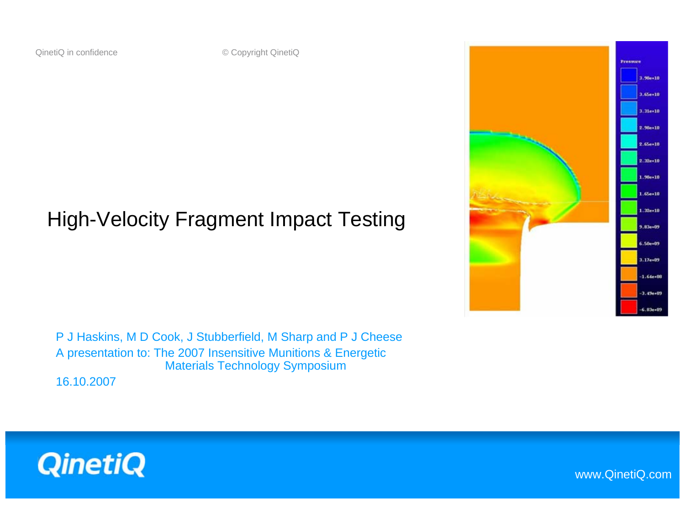#### High-Velocity Fragment Impact Testing

P J Haskins, M D Cook, J Stubberfield, M Sharp and P J Cheese A presentation to: The 2007 Insensitive Munitions & Energetic Materials Technology Symposium

16.10.2007





www.QinetiQ.com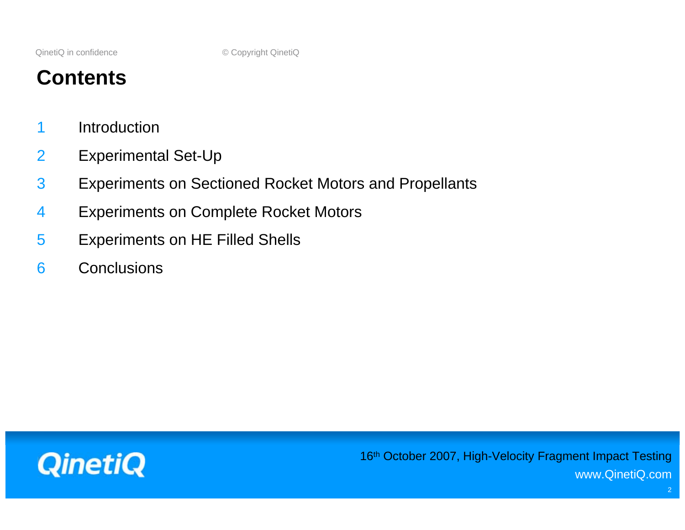## **Contents**

- 1 Introduction
- 2 Experimental Set-Up
- 3 Experiments on Sectioned Rocket Motors and Propellants
- 4 Experiments on Complete Rocket Motors
- 5 Experiments on HE Filled Shells
- 6 Conclusions

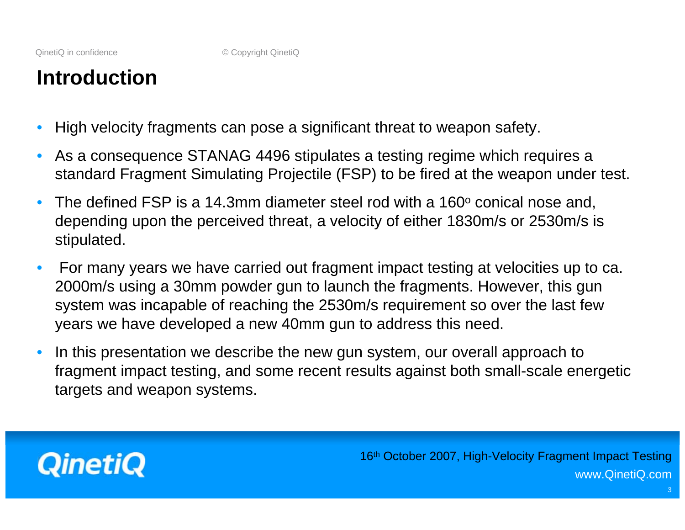## **Introduction**

- High velocity fragments can pose a significant threat to weapon safety.
- As a consequence STANAG 4496 stipulates a testing regime which requires a standard Fragment Simulating Projectile (FSP) to be fired at the weapon under test.
- The defined FSP is a 14.3mm diameter steel rod with a 160 $\degree$  conical nose and, depending upon the perceived threat, a velocity of either 1830m/s or 2530m/s is stipulated.
- For many years we have carried out fragment impact testing at velocities up to ca. 2000m/s using a 30mm powder gun to launch the fragments. However, this gun system was incapable of reaching the 2530m/s requirement so over the last few years we have developed a new 40mm gun to address this need.
- In this presentation we describe the new gun system, our overall approach to fragment impact testing, and some recent results against both small-scale energetic targets and weapon systems.

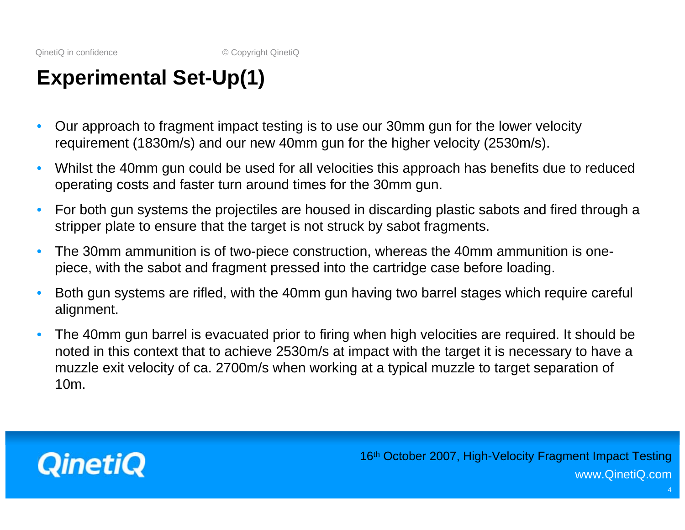## **Experimental Set-Up(1)**

- Our approach to fragment impact testing is to use our 30mm gun for the lower velocity requirement (1830m/s) and our new 40mm gun for the higher velocity (2530m/s).
- Whilst the 40mm gun could be used for all velocities this approach has benefits due to reduced operating costs and faster turn around times for the 30mm gun.
- For both gun systems the projectiles are housed in discarding plastic sabots and fired through a stripper plate to ensure that the target is not struck by sabot fragments.
- The 30mm ammunition is of two-piece construction, whereas the 40mm ammunition is onepiece, with the sabot and fragment pressed into the cartridge case before loading.
- Both gun systems are rifled, with the 40mm gun having two barrel stages which require careful alignment.
- The 40mm gun barrel is evacuated prior to firing when high velocities are required. It should be noted in this context that to achieve 2530m/s at impact with the target it is necessary to have a muzzle exit velocity of ca. 2700m/s when working at a typical muzzle to target separation of 10m.

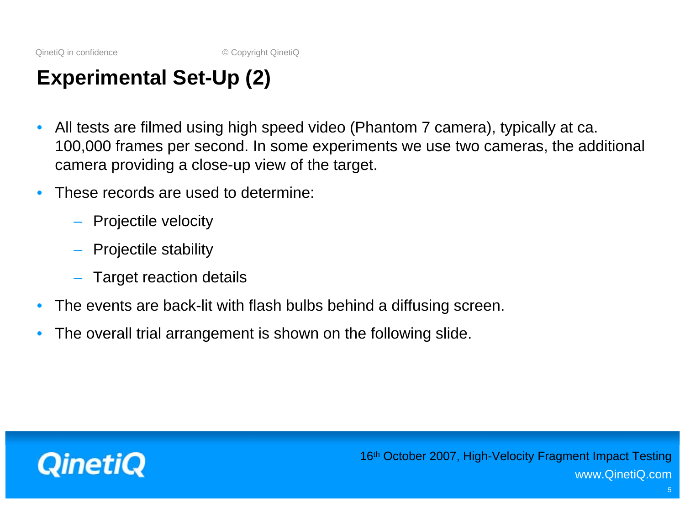## **Experimental Set-Up (2)**

- All tests are filmed using high speed video (Phantom 7 camera), typically at ca. 100,000 frames per second. In some experiments we use two cameras, the additional camera providing a close-up view of the target.
- These records are used to determine:
	- Projectile velocity
	- Projectile stability
	- Target reaction details
- The events are back-lit with flash bulbs behind a diffusing screen.
- The overall trial arrangement is shown on the following slide.

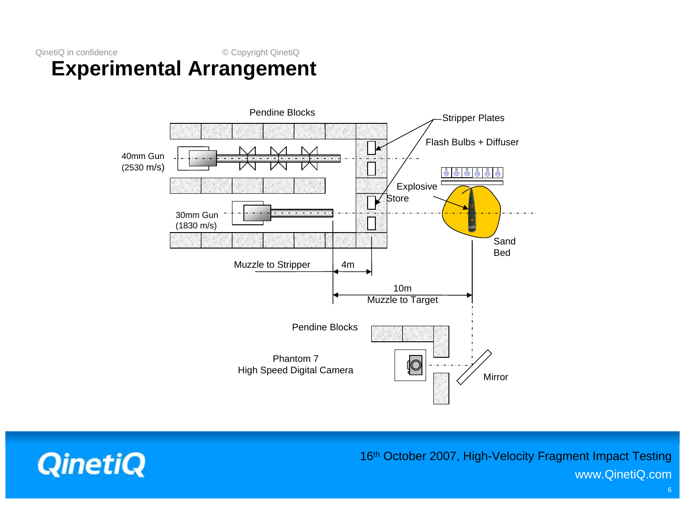#### QinetiQ in confidence © Copyright QinetiQ **Experimental Arrangement**



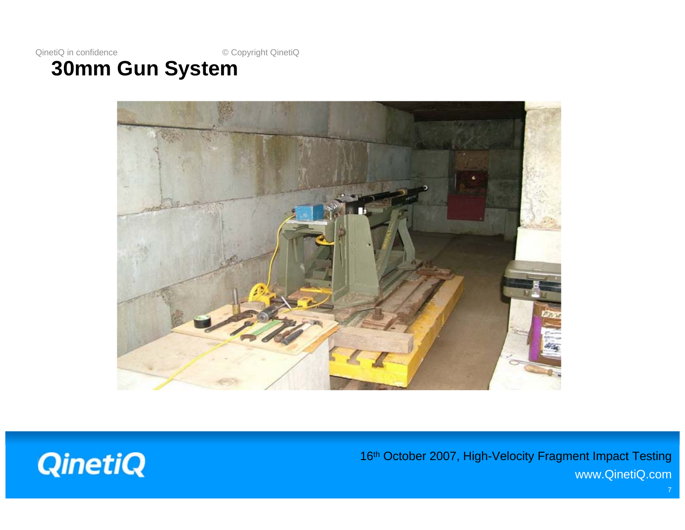#### **30mm Gun System**



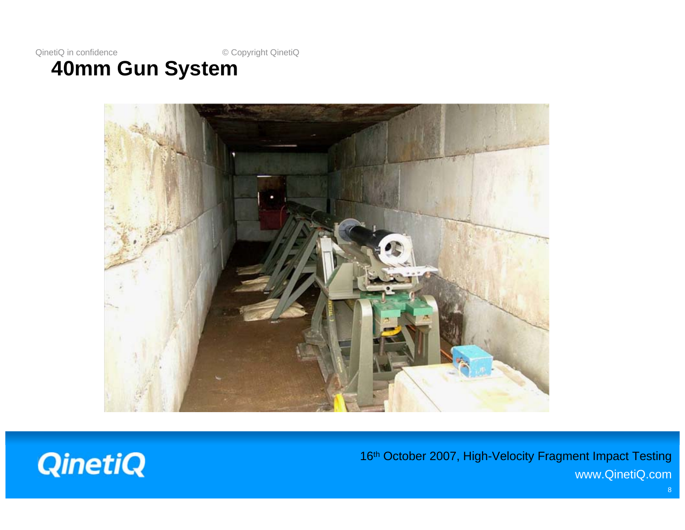#### **40mm Gun System**



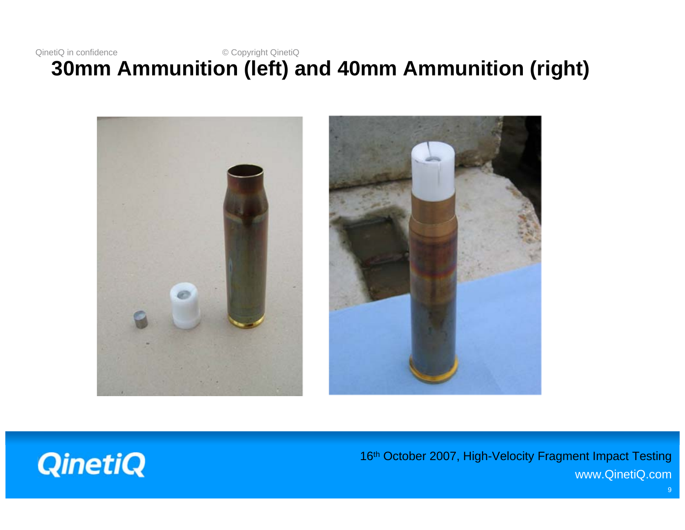#### QinetiQ in confidence © Copyright QinetiQ **30mm Ammunition (left) and 40mm Ammunition (right)**



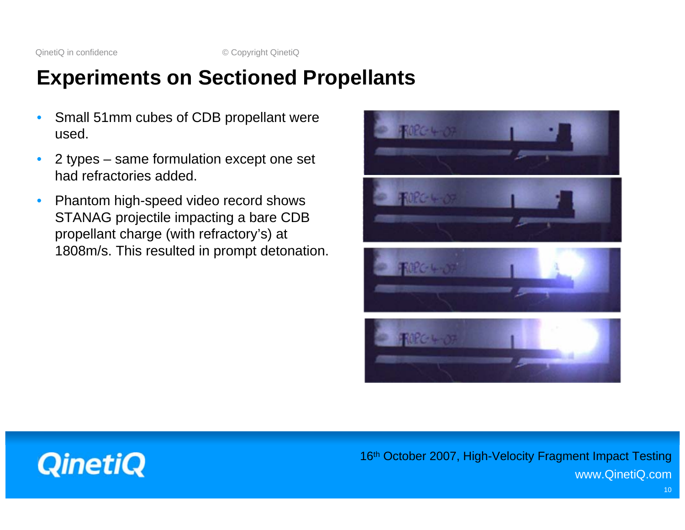## **Experiments on Sectioned Propellants**

- Small 51mm cubes of CDB propellant were used.
- 2 types same formulation except one set had refractories added.
- Phantom high-speed video record shows STANAG projectile impacting a bare CDB propellant charge (with refractory's) at 1808m/s. This resulted in prompt detonation.

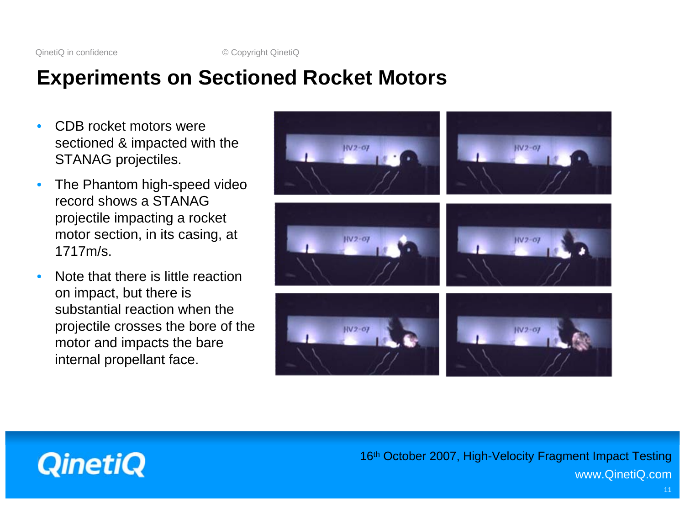## **Experiments on Sectioned Rocket Motors**

- CDB rocket motors were sectioned & impacted with the STANAG projectiles.
- The Phantom high-speed video record shows a STANAG projectile impacting a rocket motor section, in its casing, at 1717m/s.
- Note that there is little reaction on impact, but there is substantial reaction when the projectile crosses the bore of the motor and impacts the bare internal propellant face.



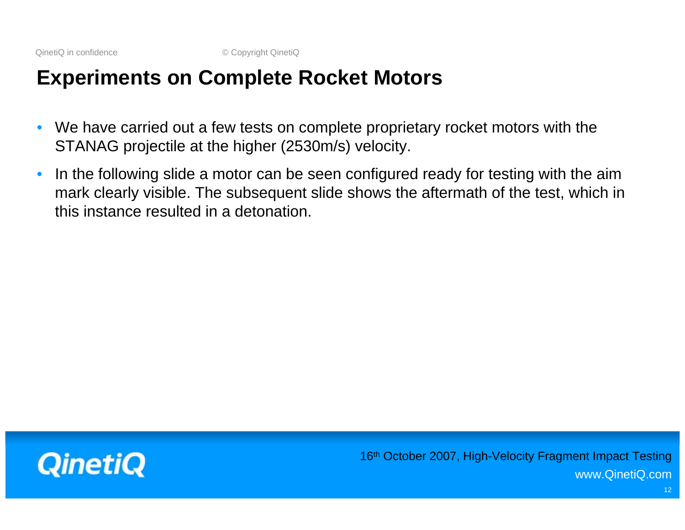## **Experiments on Complete Rocket Motors**

- We have carried out a few tests on complete proprietary rocket motors with the STANAG projectile at the higher (2530m/s) velocity.
- In the following slide a motor can be seen configured ready for testing with the aim mark clearly visible. The subsequent slide shows the aftermath of the test, which in this instance resulted in a detonation.

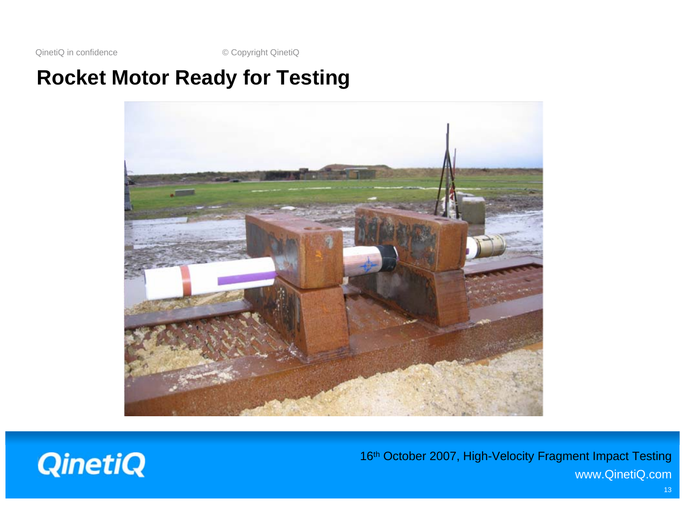## **Rocket Motor Ready for Testing**



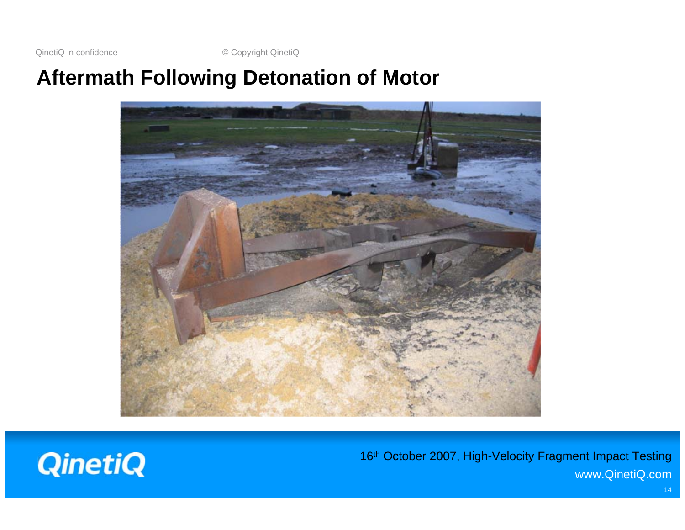#### **Aftermath Following Detonation of Motor**



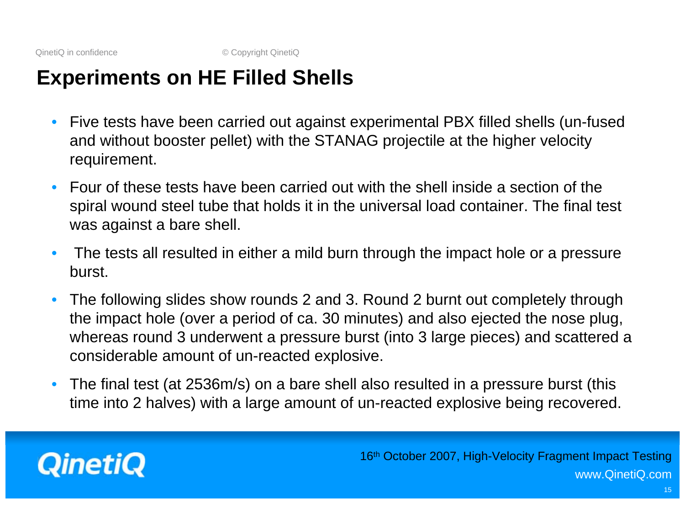### **Experiments on HE Filled Shells**

- Five tests have been carried out against experimental PBX filled shells (un-fused and without booster pellet) with the STANAG projectile at the higher velocity requirement.
- Four of these tests have been carried out with the shell inside a section of the spiral wound steel tube that holds it in the universal load container. The final test was against a bare shell.
- The tests all resulted in either a mild burn through the impact hole or a pressure burst.
- The following slides show rounds 2 and 3. Round 2 burnt out completely through the impact hole (over a period of ca. 30 minutes) and also ejected the nose plug, whereas round 3 underwent a pressure burst (into 3 large pieces) and scattered a considerable amount of un-reacted explosive.
- The final test (at 2536m/s) on a bare shell also resulted in a pressure burst (this time into 2 halves) with a large amount of un-reacted explosive being recovered.

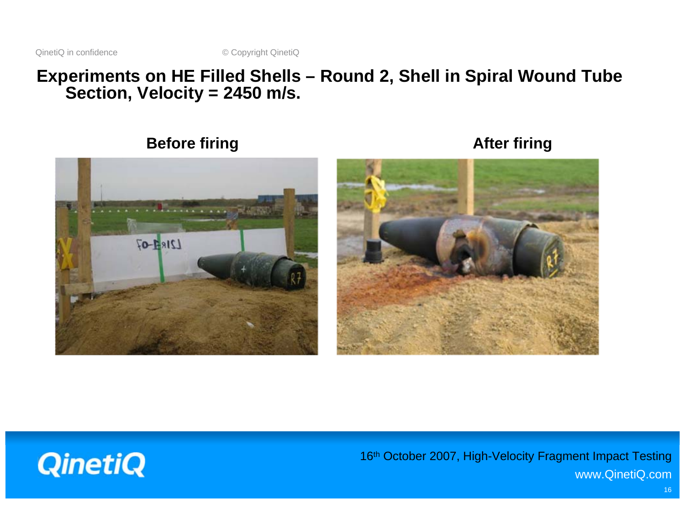#### **Experiments on HE Filled Shells – Round 2, Shell in Spiral Wound Tube Section, Velocity = 2450 m/s.**

#### **Before firing**  and the settlement of the Before firing and the settlement of the After firing

# **Allen Carrier**  $L21R + 07$



![](_page_15_Picture_6.jpeg)

16<sup>th</sup> October 2007, High-Velocity Fragment Impact Testing www.QinetiQ.com

16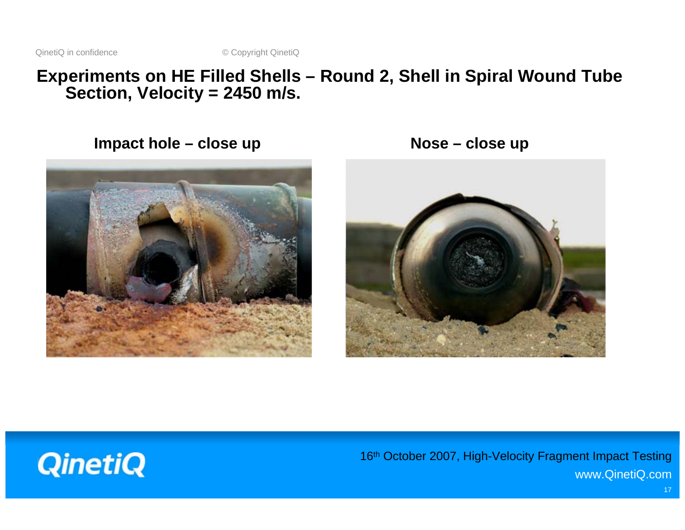#### **Experiments on HE Filled Shells – Round 2, Shell in Spiral Wound Tube Section, Velocity = 2450 m/s.**

Impact hole – close up **Nose – close up** 

![](_page_16_Picture_4.jpeg)

![](_page_16_Picture_5.jpeg)

![](_page_16_Picture_6.jpeg)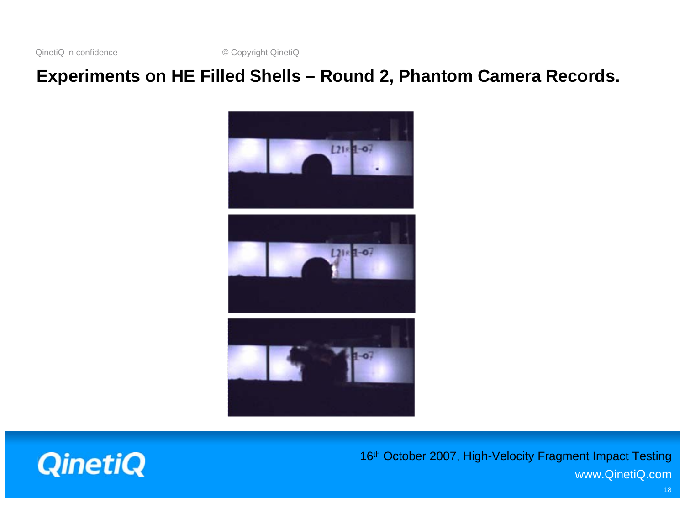#### **Experiments on HE Filled Shells – Round 2, Phantom Camera Records.**

![](_page_17_Picture_3.jpeg)

![](_page_17_Picture_4.jpeg)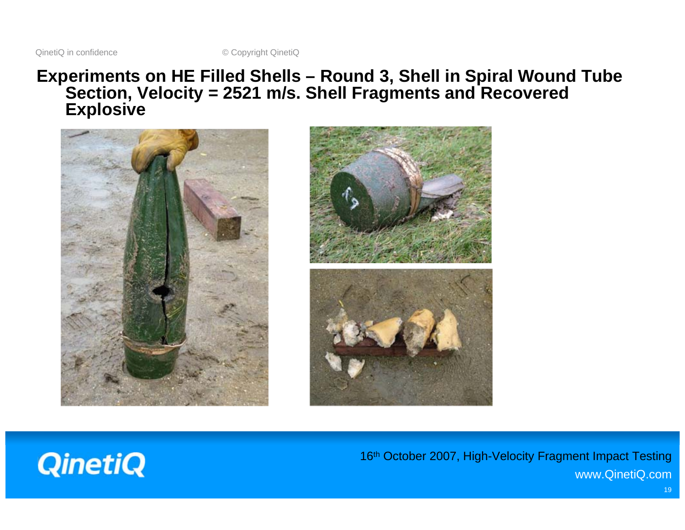#### **Experiments on HE Filled Shells – Round 3, Shell in Spiral Wound Tube Section, Velocity = 2521 m/s. Shell Fragments and Recovered Explosive**

![](_page_18_Picture_3.jpeg)

![](_page_18_Picture_4.jpeg)

![](_page_18_Picture_5.jpeg)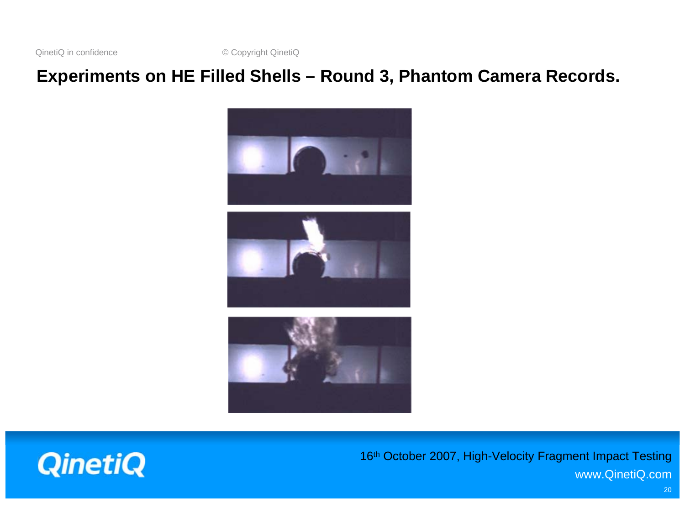#### **Experiments on HE Filled Shells – Round 3, Phantom Camera Records.**

![](_page_19_Picture_3.jpeg)

![](_page_19_Picture_4.jpeg)